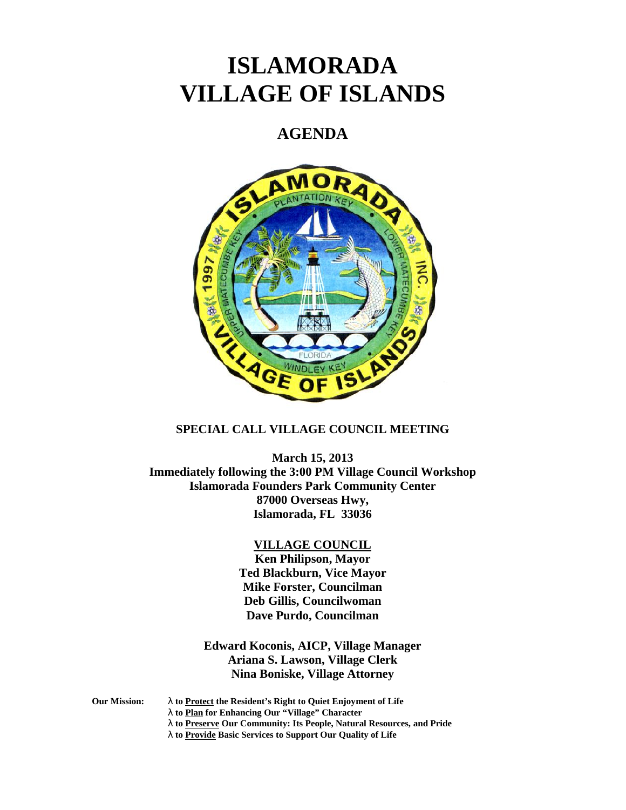# **ISLAMORADA VILLAGE OF ISLANDS**

# **AGENDA**



## **SPECIAL CALL VILLAGE COUNCIL MEETING**

**March 15, 2013 Immediately following the 3:00 PM Village Council Workshop Islamorada Founders Park Community Center 87000 Overseas Hwy, Islamorada, FL 33036**

#### **VILLAGE COUNCIL**

**Ken Philipson, Mayor Ted Blackburn, Vice Mayor Mike Forster, Councilman Deb Gillis, Councilwoman Dave Purdo, Councilman**

# **Edward Koconis, AICP, Village Manager Ariana S. Lawson, Village Clerk Nina Boniske, Village Attorney**

- **Our Mission: to Protect the Resident's Right to Quiet Enjoyment of Life**
	- **to Plan for Enhancing Our "Village" Character**
	- **to Preserve Our Community: Its People, Natural Resources, and Pride**
	- **to Provide Basic Services to Support Our Quality of Life**